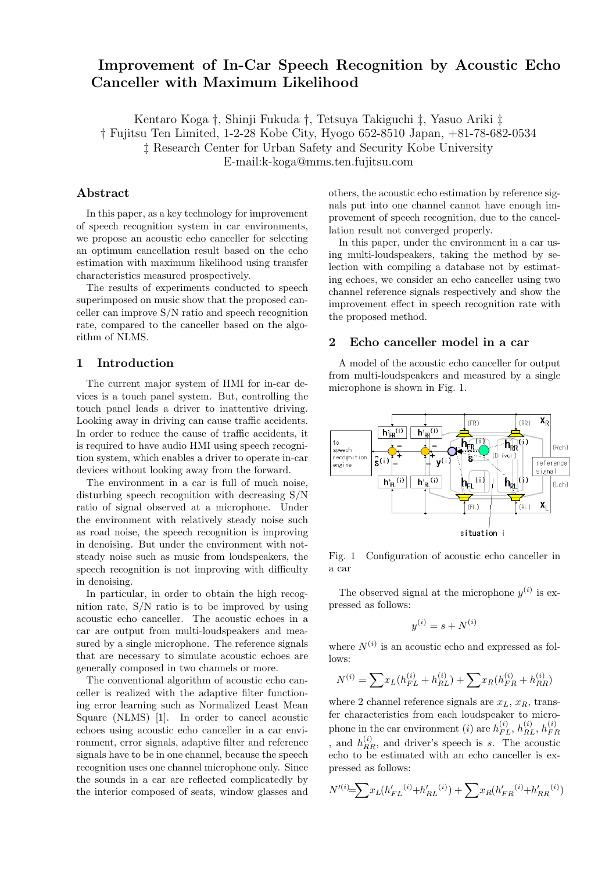# **Improvement of In-Car Speech Recognition by Acoustic Echo Canceller with Maximum Likelihood**

Kentaro Koga *†*, Shinji Fukuda *†*, Tetsuya Takiguchi *‡*, Yasuo Ariki *‡ †* Fujitsu Ten Limited, 1-2-28 Kobe City, Hyogo 652-8510 Japan, +81-78-682-0534 *‡* Research Center for Urban Safety and Security Kobe University E-mail:k-koga@mms.ten.fujitsu.com

# **Abstract**

In this paper, as a key technology for improvement of speech recognition system in car environments, we propose an acoustic echo canceller for selecting an optimum cancellation result based on the echo estimation with maximum likelihood using transfer characteristics measured prospectively.

The results of experiments conducted to speech superimposed on music show that the proposed canceller can improve S/N ratio and speech recognition rate, compared to the canceller based on the algorithm of NLMS.

### **1 Introduction**

The current major system of HMI for in-car devices is a touch panel system. But, controlling the touch panel leads a driver to inattentive driving. Looking away in driving can cause traffic accidents. In order to reduce the cause of traffic accidents, it is required to have audio HMI using speech recognition system, which enables a driver to operate in-car devices without looking away from the forward.

The environment in a car is full of much noise, disturbing speech recognition with decreasing S/N ratio of signal observed at a microphone. Under the environment with relatively steady noise such as road noise, the speech recognition is improving in denoising. But under the environment with notsteady noise such as music from loudspeakers, the speech recognition is not improving with difficulty in denoising.

In particular, in order to obtain the high recognition rate, S/N ratio is to be improved by using acoustic echo canceller. The acoustic echoes in a car are output from multi-loudspeakers and measured by a single microphone. The reference signals that are necessary to simulate acoustic echoes are generally composed in two channels or more.

The conventional algorithm of acoustic echo canceller is realized with the adaptive filter functioning error learning such as Normalized Least Mean Square (NLMS) [1]. In order to cancel acoustic echoes using acoustic echo canceller in a car environment, error signals, adaptive filter and reference signals have to be in one channel, because the speech recognition uses one channel microphone only. Since the sounds in a car are reflected complicatedly by the interior composed of seats, window glasses and

others, the acoustic echo estimation by reference signals put into one channel cannot have enough improvement of speech recognition, due to the cancellation result not converged properly.

In this paper, under the environment in a car using multi-loudspeakers, taking the method by selection with compiling a database not by estimating echoes, we consider an echo canceller using two channel reference signals respectively and show the improvement effect in speech recognition rate with the proposed method.

## **2 Echo canceller model in a car**

A model of the acoustic echo canceller for output from multi-loudspeakers and measured by a single microphone is shown in Fig. 1.



Fig. 1 Configuration of acoustic echo canceller in a car

The observed signal at the microphone  $y^{(i)}$  is expressed as follows:

$$
y^{(i)} = s + N^{(i)}
$$

where  $N^{(i)}$  is an acoustic echo and expressed as follows:

$$
N^{(i)} = \sum x_L (h_{FL}^{(i)} + h_{RL}^{(i)}) + \sum x_R (h_{FR}^{(i)} + h_{RR}^{(i)})
$$

where 2 channel reference signals are  $x_L$ ,  $x_R$ , transfer characteristics from each loudspeaker to microphone in the car environment (*i*) are  $h_{FL}^{(i)}$ ,  $h_{RL}^{(i)}$ ,  $h_{FI}^{(i)}$ *F R* , and  $h_{RR}^{(i)}$ , and driver's speech is *s*. The acoustic echo to be estimated with an echo canceller is expressed as follows:

$$
N^{\prime(i)} = \sum x_L (h_{FL}^{\prime}(i) + h_{RL}^{\prime}(i)) + \sum x_R (h_{FR}^{\prime}(i) + h_{RR}^{\prime}(i))
$$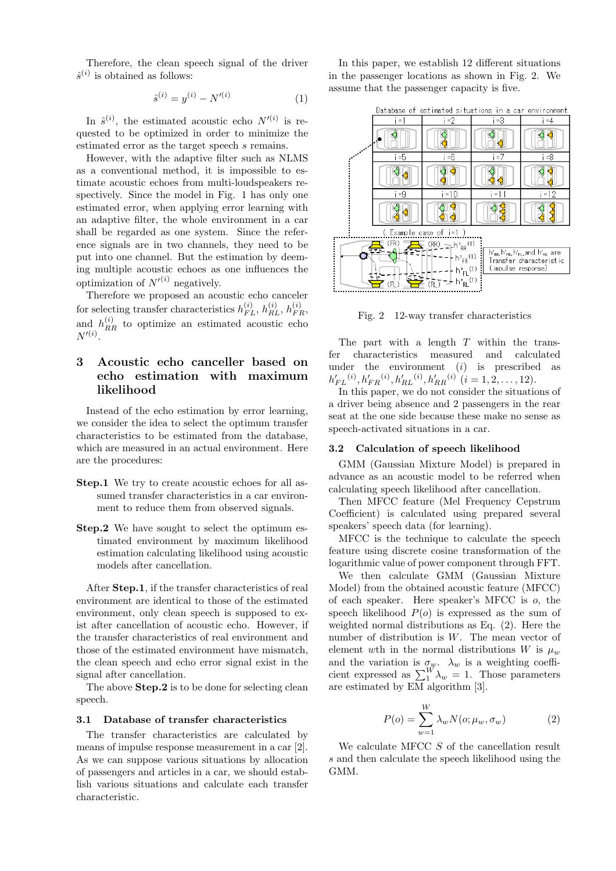Therefore, the clean speech signal of the driver  $\hat{s}^{(i)}$  is obtained as follows:

$$
\hat{s}^{(i)} = y^{(i)} - N'^{(i)} \tag{1}
$$

In  $\hat{s}^{(i)}$ , the estimated acoustic echo  $N^{\prime(i)}$  is requested to be optimized in order to minimize the estimated error as the target speech *s* remains.

However, with the adaptive filter such as NLMS as a conventional method, it is impossible to estimate acoustic echoes from multi-loudspeakers respectively. Since the model in Fig. 1 has only one estimated error, when applying error learning with an adaptive filter, the whole environment in a car shall be regarded as one system. Since the reference signals are in two channels, they need to be put into one channel. But the estimation by deeming multiple acoustic echoes as one influences the optimization of  $N^{\prime(i)}$  negatively.

Therefore we proposed an acoustic echo canceler for selecting transfer characteristics  $h_{FL}^{(i)}$ ,  $h_{RL}^{(i)}$ ,  $h_{FR}^{(i)}$ , and  $h_{RR}^{(i)}$  to optimize an estimated acoustic echo  $N^{\prime(i)}$ .

# **3 Acoustic echo canceller based on echo estimation with maximum likelihood**

Instead of the echo estimation by error learning, we consider the idea to select the optimum transfer characteristics to be estimated from the database, which are measured in an actual environment. Here are the procedures:

- **Step.1** We try to create acoustic echoes for all assumed transfer characteristics in a car environment to reduce them from observed signals.
- **Step.2** We have sought to select the optimum estimated environment by maximum likelihood estimation calculating likelihood using acoustic models after cancellation.

After **Step.1**, if the transfer characteristics of real environment are identical to those of the estimated environment, only clean speech is supposed to exist after cancellation of acoustic echo. However, if the transfer characteristics of real environment and those of the estimated environment have mismatch, the clean speech and echo error signal exist in the signal after cancellation.

The above **Step.2** is to be done for selecting clean speech.

#### **3.1 Database of transfer characteristics**

The transfer characteristics are calculated by means of impulse response measurement in a car [2]. As we can suppose various situations by allocation of passengers and articles in a car, we should establish various situations and calculate each transfer characteristic.

In this paper, we establish 12 different situations in the passenger locations as shown in Fig. 2. We assume that the passenger capacity is five.



Fig. 2 12-way transfer characteristics

The part with a length *T* within the transfer characteristics measured and calculated under the environment (*i*) is prescribed as  $h'_{FL}^{(i)}$ ,  $h'_{FR}^{(i)}$ ,  $h'_{RL}^{(i)}$ ,  $h'_{RR}^{(i)}$  (*i* = 1, 2, . . . , 12).

In this paper, we do not consider the situations of a driver being absence and 2 passengers in the rear seat at the one side because these make no sense as speech-activated situations in a car.

#### **3.2 Calculation of speech likelihood**

GMM (Gaussian Mixture Model) is prepared in advance as an acoustic model to be referred when calculating speech likelihood after cancellation.

Then MFCC feature (Mel Frequency Cepstrum Coefficient) is calculated using prepared several speakers' speech data (for learning).

MFCC is the technique to calculate the speech feature using discrete cosine transformation of the logarithmic value of power component through FFT.

We then calculate GMM (Gaussian Mixture Model) from the obtained acoustic feature (MFCC) of each speaker. Here speaker's MFCC is *o*, the speech likelihood  $P(o)$  is expressed as the sum of weighted normal distributions as Eq. (2). Here the number of distribution is *W*. The mean vector of element wth in the normal distributions *W* is  $\mu_w$ and the variation is  $\sigma_w$ .  $\lambda_w$  is a weighting coefficient expressed as  $\sum_{1}^{W} \lambda_{w} = 1$ . Those parameters are estimated by EM algorithm [3].

$$
P(o) = \sum_{w=1}^{W} \lambda_w N(o; \mu_w, \sigma_w)
$$
 (2)

We calculate MFCC *S* of the cancellation result *s* and then calculate the speech likelihood using the GMM.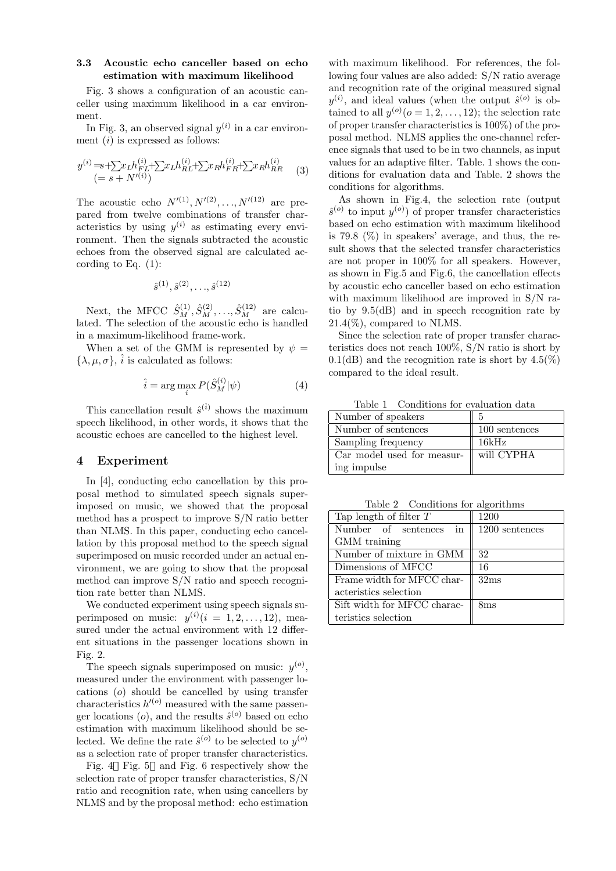### **3.3 Acoustic echo canceller based on echo estimation with maximum likelihood**

Fig. 3 shows a configuration of an acoustic canceller using maximum likelihood in a car environment.

In Fig. 3, an observed signal  $y^{(i)}$  in a car environment (*i*) is expressed as follows:

$$
y^{(i)} = s + \sum x_L h_{FL}^{(i)} + \sum x_L h_{RL}^{(i)} + \sum x_R h_{FR}^{(i)} + \sum x_R h_{RR}^{(i)} \tag{3}
$$
  

$$
(= s + N'^{(i)})
$$

The acoustic echo  $N'^{(1)}, N'^{(2)}, \ldots, N'^{(12)}$  are prepared from twelve combinations of transfer characteristics by using  $y^{(i)}$  as estimating every environment. Then the signals subtracted the acoustic echoes from the observed signal are calculated according to Eq.  $(1)$ :

$$
\hat{s}^{(1)}, \hat{s}^{(2)}, \ldots, \hat{s}^{(12)}
$$

Next, the MFCC  $\hat{S}_M^{(1)}, \hat{S}_M^{(2)}, \ldots, \hat{S}_M^{(12)}$  are calculated. The selection of the acoustic echo is handled in a maximum-likelihood frame-work.

When a set of the GMM is represented by  $\psi =$  $\{\lambda, \mu, \sigma\}, \hat{i}$  is calculated as follows:

$$
\hat{i} = \arg\max_{i} P(\hat{S}_{M}^{(i)}|\psi)
$$
 (4)

This cancellation result  $\hat{s}^{(\hat{i})}$  shows the maximum speech likelihood, in other words, it shows that the acoustic echoes are cancelled to the highest level.

# **4 Experiment**

In [4], conducting echo cancellation by this proposal method to simulated speech signals superimposed on music, we showed that the proposal method has a prospect to improve S/N ratio better than NLMS. In this paper, conducting echo cancellation by this proposal method to the speech signal superimposed on music recorded under an actual environment, we are going to show that the proposal method can improve S/N ratio and speech recognition rate better than NLMS.

We conducted experiment using speech signals superimposed on music:  $y^{(i)}$  ( $i = 1, 2, \ldots, 12$ ), measured under the actual environment with 12 different situations in the passenger locations shown in Fig. 2.

The speech signals superimposed on music:  $y^{(o)}$ , measured under the environment with passenger locations (*o*) should be cancelled by using transfer characteristics  $h'^{(o)}$  measured with the same passenger locations  $(o)$ , and the results  $\hat{s}^{(o)}$  based on echo estimation with maximum likelihood should be selected. We define the rate  $\hat{s}^{(o)}$  to be selected to  $y^{(o)}$ as a selection rate of proper transfer characteristics.

Fig. 4 Fig. 5 and Fig. 6 respectively show the selection rate of proper transfer characteristics, S/N ratio and recognition rate, when using cancellers by NLMS and by the proposal method: echo estimation

with maximum likelihood. For references, the following four values are also added: S/N ratio average and recognition rate of the original measured signal  $y^{(i)}$ , and ideal values (when the output  $\hat{s}^{(o)}$  is obtained to all  $y^{(o)}$  ( $o = 1, 2, ..., 12$ ); the selection rate of proper transfer characteristics is 100%) of the proposal method. NLMS applies the one-channel reference signals that used to be in two channels, as input values for an adaptive filter. Table. 1 shows the conditions for evaluation data and Table. 2 shows the conditions for algorithms.

As shown in Fig.4, the selection rate (output  $\hat{s}^{(o)}$  to input  $y^{(o)}$  of proper transfer characteristics based on echo estimation with maximum likelihood is 79.8  $(\%)$  in speakers' average, and thus, the result shows that the selected transfer characteristics are not proper in 100% for all speakers. However, as shown in Fig.5 and Fig.6, the cancellation effects by acoustic echo canceller based on echo estimation with maximum likelihood are improved in S/N ratio by 9.5(dB) and in speech recognition rate by  $21.4\%$ , compared to NLMS.

Since the selection rate of proper transfer characteristics does not reach 100%, S/N ratio is short by  $0.1$ (dB) and the recognition rate is short by  $4.5\%$ ) compared to the ideal result.

Table 1 Conditions for evaluation data

| Number of speakers                       | 5             |
|------------------------------------------|---------------|
| Number of sentences                      | 100 sentences |
| Sampling frequency                       | 16kHz         |
| Car model used for measur-    will CYPHA |               |
| ing impulse                              |               |

Table 2 Conditions for algorithms

| Tap length of filter $T$    | 1200            |
|-----------------------------|-----------------|
| Number of sentences in      | 1200 sentences  |
| GMM training                |                 |
| Number of mixture in GMM    | 32              |
| Dimensions of MFCC          | 16              |
| Frame width for MFCC char-  | 32ms            |
| acteristics selection       |                 |
| Sift width for MFCC charac- | 8 <sub>ms</sub> |
| teristics selection         |                 |